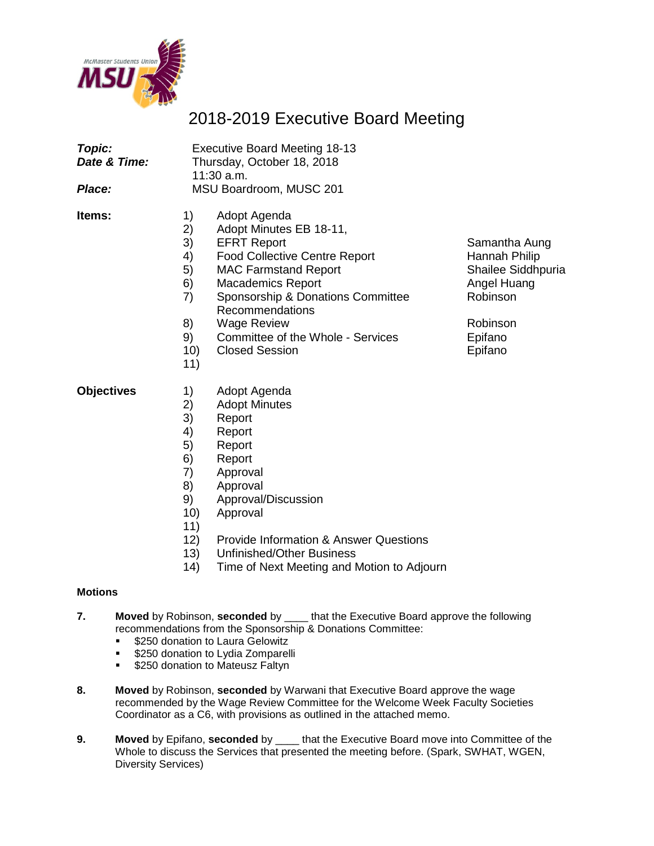

## 2018-2019 Executive Board Meeting

| Topic:<br>Date & Time:<br>Place: | <b>Executive Board Meeting 18-13</b><br>Thursday, October 18, 2018<br>11:30 a.m.<br>MSU Boardroom, MUSC 201                                                                                                                                                                                                                                                                      |                                                                                                                   |  |
|----------------------------------|----------------------------------------------------------------------------------------------------------------------------------------------------------------------------------------------------------------------------------------------------------------------------------------------------------------------------------------------------------------------------------|-------------------------------------------------------------------------------------------------------------------|--|
| ltems:                           | 1)<br>Adopt Agenda<br>2)<br>Adopt Minutes EB 18-11,<br>3)<br><b>EFRT Report</b><br>4)<br><b>Food Collective Centre Report</b><br>5)<br><b>MAC Farmstand Report</b><br>6)<br><b>Macademics Report</b><br>7)<br>Sponsorship & Donations Committee<br>Recommendations<br>8)<br><b>Wage Review</b><br>9)<br>Committee of the Whole - Services<br><b>Closed Session</b><br>10)<br>11) | Samantha Aung<br>Hannah Philip<br>Shailee Siddhpuria<br>Angel Huang<br>Robinson<br>Robinson<br>Epifano<br>Epifano |  |
| <b>Objectives</b>                | Adopt Agenda<br>1)<br>2)<br><b>Adopt Minutes</b><br>3)<br>Report<br>4)<br>Report<br>5)<br>Report<br>ົ                                                                                                                                                                                                                                                                            |                                                                                                                   |  |

- 6) Report
- 7) Approval
- 8) Approval
- 9) Approval/Discussion
- 10) Approval
- 11)
- 12) Provide Information & Answer Questions
- 13) Unfinished/Other Business
- 14) Time of Next Meeting and Motion to Adjourn

#### **Motions**

- **7. Moved** by Robinson, **seconded** by \_\_\_\_ that the Executive Board approve the following recommendations from the Sponsorship & Donations Committee:
	- **S250 donation to Laura Gelowitz**
	- **\$250 donation to Lydia Zomparelli**
	- **5250 donation to Mateusz Faltyn**
- **8. Moved** by Robinson, **seconded** by Warwani that Executive Board approve the wage recommended by the Wage Review Committee for the Welcome Week Faculty Societies Coordinator as a C6, with provisions as outlined in the attached memo.
- **9. Moved** by Epifano, **seconded** by \_\_\_\_ that the Executive Board move into Committee of the Whole to discuss the Services that presented the meeting before. (Spark, SWHAT, WGEN, Diversity Services)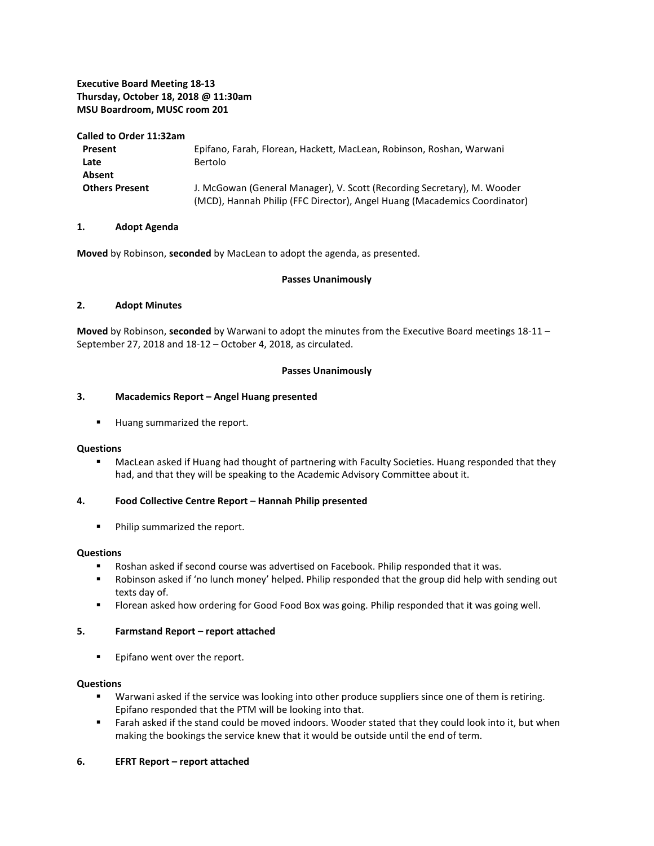#### **Executive Board Meeting 18-13 Thursday, October 18, 2018 @ 11:30am MSU Boardroom, MUSC room 201**

**Called to Order 11:32am**

| Present               | Epifano, Farah, Florean, Hackett, MacLean, Robinson, Roshan, Warwani                                                                                 |
|-----------------------|------------------------------------------------------------------------------------------------------------------------------------------------------|
| Late                  | Bertolo                                                                                                                                              |
| Absent                |                                                                                                                                                      |
| <b>Others Present</b> | J. McGowan (General Manager), V. Scott (Recording Secretary), M. Wooder<br>(MCD), Hannah Philip (FFC Director), Angel Huang (Macademics Coordinator) |

#### **1. Adopt Agenda**

**Moved** by Robinson, **seconded** by MacLean to adopt the agenda, as presented.

#### **Passes Unanimously**

#### **2. Adopt Minutes**

**Moved** by Robinson, **seconded** by Warwani to adopt the minutes from the Executive Board meetings 18-11 – September 27, 2018 and 18-12 – October 4, 2018, as circulated.

#### **Passes Unanimously**

#### **3. Macademics Report – Angel Huang presented**

**Huang summarized the report.** 

#### **Questions**

 MacLean asked if Huang had thought of partnering with Faculty Societies. Huang responded that they had, and that they will be speaking to the Academic Advisory Committee about it.

#### **4. Food Collective Centre Report – Hannah Philip presented**

**Philip summarized the report.** 

#### **Questions**

- Roshan asked if second course was advertised on Facebook. Philip responded that it was.
- Robinson asked if 'no lunch money' helped. Philip responded that the group did help with sending out texts day of.
- **FIOTER 19 Florean asked how ordering for Good Food Box was going. Philip responded that it was going well.**

#### **5. Farmstand Report – report attached**

**Epifano went over the report.** 

#### **Questions**

- **Warwani asked if the service was looking into other produce suppliers since one of them is retiring.** Epifano responded that the PTM will be looking into that.
- Farah asked if the stand could be moved indoors. Wooder stated that they could look into it, but when making the bookings the service knew that it would be outside until the end of term.

#### **6. EFRT Report – report attached**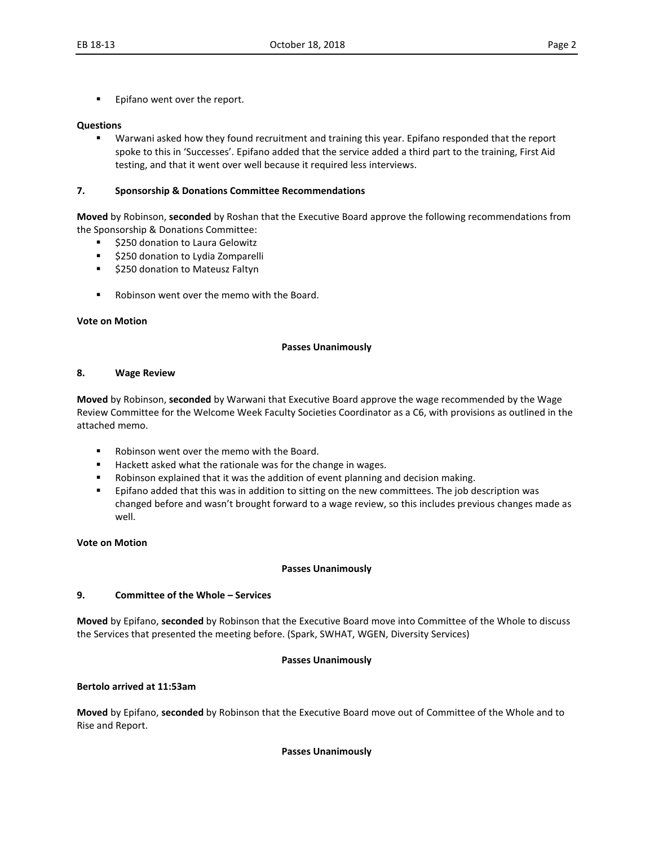Epifano went over the report.

#### **Questions**

 Warwani asked how they found recruitment and training this year. Epifano responded that the report spoke to this in 'Successes'. Epifano added that the service added a third part to the training, First Aid testing, and that it went over well because it required less interviews.

#### **7. Sponsorship & Donations Committee Recommendations**

**Moved** by Robinson, **seconded** by Roshan that the Executive Board approve the following recommendations from the Sponsorship & Donations Committee:

- \$250 donation to Laura Gelowitz
- **5250 donation to Lydia Zomparelli**
- **5250 donation to Mateusz Faltyn**
- Robinson went over the memo with the Board.

#### **Vote on Motion**

#### **Passes Unanimously**

#### **8. Wage Review**

**Moved** by Robinson, **seconded** by Warwani that Executive Board approve the wage recommended by the Wage Review Committee for the Welcome Week Faculty Societies Coordinator as a C6, with provisions as outlined in the attached memo.

- Robinson went over the memo with the Board.
- Hackett asked what the rationale was for the change in wages.
- Robinson explained that it was the addition of event planning and decision making.
- **E** Epifano added that this was in addition to sitting on the new committees. The job description was changed before and wasn't brought forward to a wage review, so this includes previous changes made as well.

#### **Vote on Motion**

#### **Passes Unanimously**

#### **9. Committee of the Whole – Services**

**Moved** by Epifano, **seconded** by Robinson that the Executive Board move into Committee of the Whole to discuss the Services that presented the meeting before. (Spark, SWHAT, WGEN, Diversity Services)

#### **Passes Unanimously**

#### **Bertolo arrived at 11:53am**

**Moved** by Epifano, **seconded** by Robinson that the Executive Board move out of Committee of the Whole and to Rise and Report.

#### **Passes Unanimously**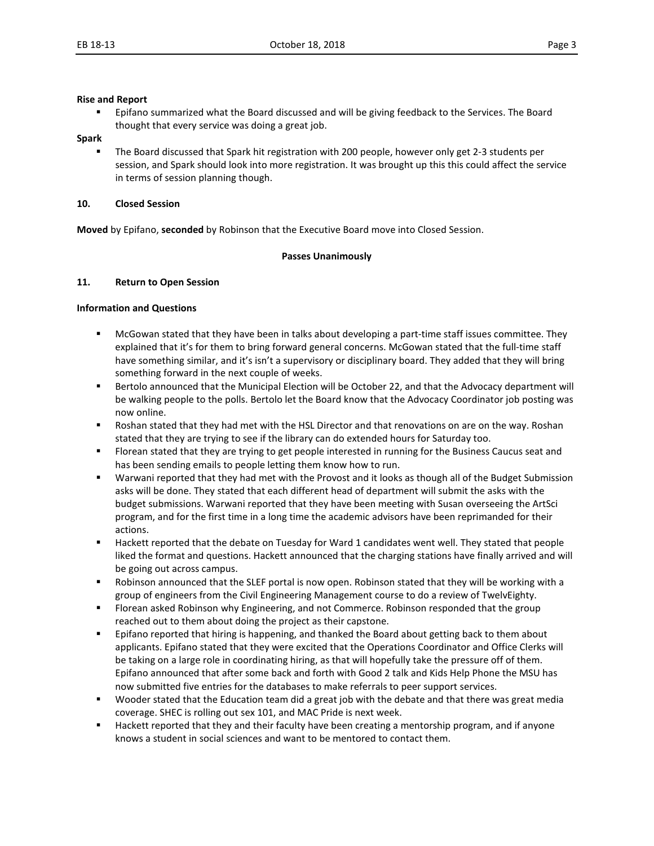#### **Rise and Report**

 Epifano summarized what the Board discussed and will be giving feedback to the Services. The Board thought that every service was doing a great job.

#### **Spark**

 The Board discussed that Spark hit registration with 200 people, however only get 2-3 students per session, and Spark should look into more registration. It was brought up this this could affect the service in terms of session planning though.

#### **10. Closed Session**

**Moved** by Epifano, **seconded** by Robinson that the Executive Board move into Closed Session.

#### **Passes Unanimously**

#### **11. Return to Open Session**

#### **Information and Questions**

- McGowan stated that they have been in talks about developing a part-time staff issues committee. They explained that it's for them to bring forward general concerns. McGowan stated that the full-time staff have something similar, and it's isn't a supervisory or disciplinary board. They added that they will bring something forward in the next couple of weeks.
- Bertolo announced that the Municipal Election will be October 22, and that the Advocacy department will be walking people to the polls. Bertolo let the Board know that the Advocacy Coordinator job posting was now online.
- Roshan stated that they had met with the HSL Director and that renovations on are on the way. Roshan stated that they are trying to see if the library can do extended hours for Saturday too.
- Florean stated that they are trying to get people interested in running for the Business Caucus seat and has been sending emails to people letting them know how to run.
- Warwani reported that they had met with the Provost and it looks as though all of the Budget Submission asks will be done. They stated that each different head of department will submit the asks with the budget submissions. Warwani reported that they have been meeting with Susan overseeing the ArtSci program, and for the first time in a long time the academic advisors have been reprimanded for their actions.
- Hackett reported that the debate on Tuesday for Ward 1 candidates went well. They stated that people liked the format and questions. Hackett announced that the charging stations have finally arrived and will be going out across campus.
- Robinson announced that the SLEF portal is now open. Robinson stated that they will be working with a group of engineers from the Civil Engineering Management course to do a review of TwelvEighty.
- **FIOT** Florean asked Robinson why Engineering, and not Commerce. Robinson responded that the group reached out to them about doing the project as their capstone.
- **EXECT FEPIFAL THE INTE THE INTE THAT IS A** Epifano reports on them about getting back to them about applicants. Epifano stated that they were excited that the Operations Coordinator and Office Clerks will be taking on a large role in coordinating hiring, as that will hopefully take the pressure off of them. Epifano announced that after some back and forth with Good 2 talk and Kids Help Phone the MSU has now submitted five entries for the databases to make referrals to peer support services.
- Wooder stated that the Education team did a great job with the debate and that there was great media coverage. SHEC is rolling out sex 101, and MAC Pride is next week.
- Hackett reported that they and their faculty have been creating a mentorship program, and if anyone knows a student in social sciences and want to be mentored to contact them.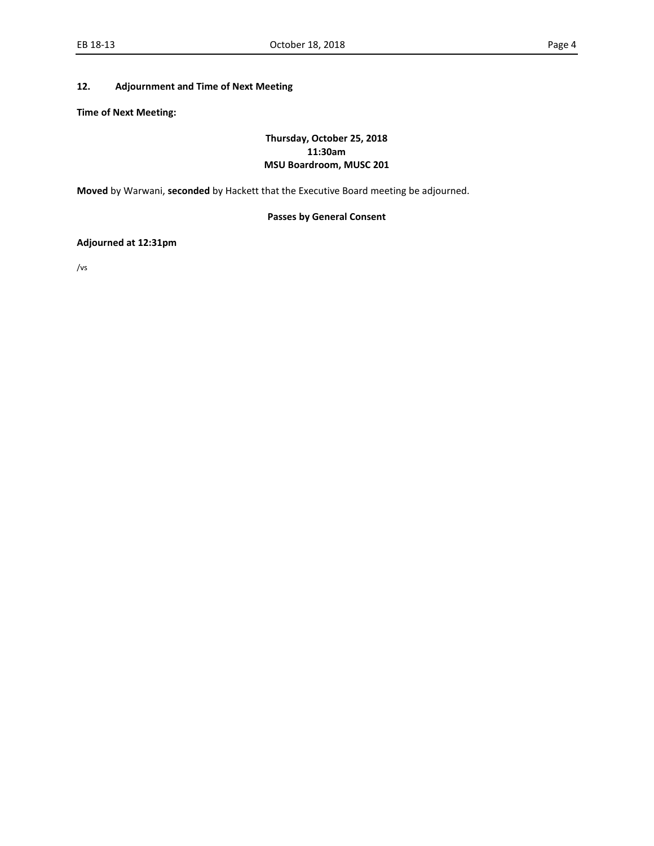#### **12. Adjournment and Time of Next Meeting**

**Time of Next Meeting:** 

#### **Thursday, October 25, 2018 11:30am MSU Boardroom, MUSC 201**

**Moved** by Warwani, **seconded** by Hackett that the Executive Board meeting be adjourned.

#### **Passes by General Consent**

#### **Adjourned at 12:31pm**

/vs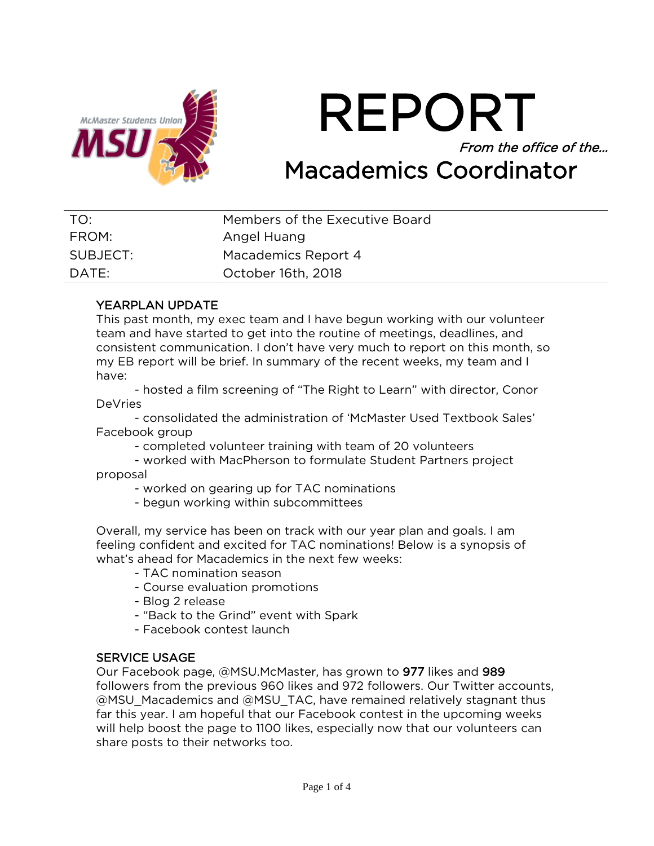

REPORT From the office of the… Macademics Coordinator

| TO:      | Members of the Executive Board |
|----------|--------------------------------|
| FROM:    | Angel Huang                    |
| SUBJECT: | Macademics Report 4            |
| DATE:    | October 16th, 2018             |

## YEARPLAN UPDATE

This past month, my exec team and I have begun working with our volunteer team and have started to get into the routine of meetings, deadlines, and consistent communication. I don't have very much to report on this month, so my EB report will be brief. In summary of the recent weeks, my team and I have:

- hosted a film screening of "The Right to Learn" with director, Conor DeVries

- consolidated the administration of 'McMaster Used Textbook Sales' Facebook group

- completed volunteer training with team of 20 volunteers

- worked with MacPherson to formulate Student Partners project proposal

- worked on gearing up for TAC nominations
- begun working within subcommittees

Overall, my service has been on track with our year plan and goals. I am feeling confident and excited for TAC nominations! Below is a synopsis of what's ahead for Macademics in the next few weeks:

- TAC nomination season
- Course evaluation promotions
- Blog 2 release
- "Back to the Grind" event with Spark
- Facebook contest launch

## SERVICE USAGE

Our Facebook page, @MSU.McMaster, has grown to 977 likes and 989 followers from the previous 960 likes and 972 followers. Our Twitter accounts, @MSU\_Macademics and @MSU\_TAC, have remained relatively stagnant thus far this year. I am hopeful that our Facebook contest in the upcoming weeks will help boost the page to 1100 likes, especially now that our volunteers can share posts to their networks too.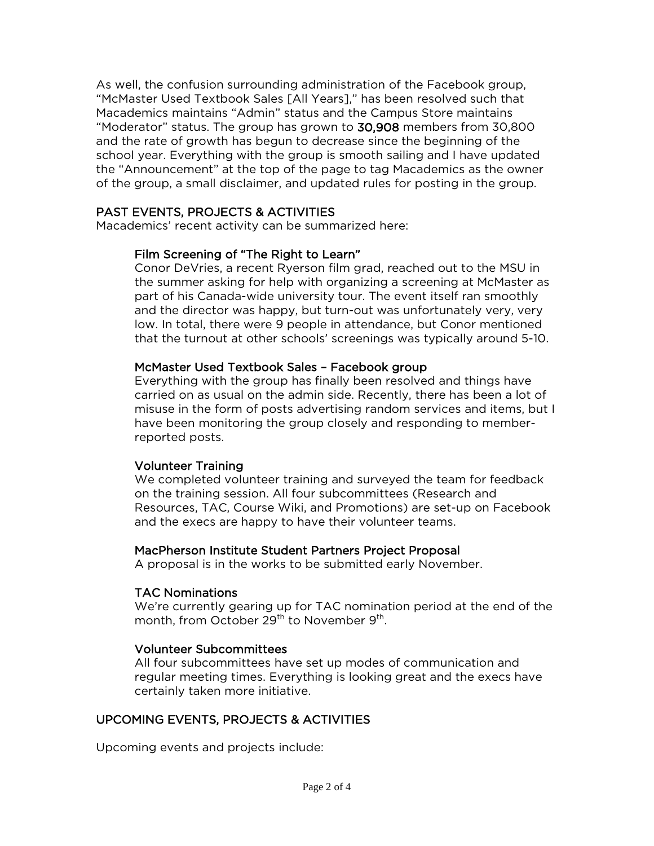As well, the confusion surrounding administration of the Facebook group, "McMaster Used Textbook Sales [All Years]," has been resolved such that Macademics maintains "Admin" status and the Campus Store maintains "Moderator" status. The group has grown to 30,908 members from 30,800 and the rate of growth has begun to decrease since the beginning of the school year. Everything with the group is smooth sailing and I have updated the "Announcement" at the top of the page to tag Macademics as the owner of the group, a small disclaimer, and updated rules for posting in the group.

## PAST EVENTS, PROJECTS & ACTIVITIES

Macademics' recent activity can be summarized here:

## Film Screening of "The Right to Learn"

Conor DeVries, a recent Ryerson film grad, reached out to the MSU in the summer asking for help with organizing a screening at McMaster as part of his Canada-wide university tour. The event itself ran smoothly and the director was happy, but turn-out was unfortunately very, very low. In total, there were 9 people in attendance, but Conor mentioned that the turnout at other schools' screenings was typically around 5-10.

## McMaster Used Textbook Sales – Facebook group

Everything with the group has finally been resolved and things have carried on as usual on the admin side. Recently, there has been a lot of misuse in the form of posts advertising random services and items, but I have been monitoring the group closely and responding to memberreported posts.

#### Volunteer Training

We completed volunteer training and surveyed the team for feedback on the training session. All four subcommittees (Research and Resources, TAC, Course Wiki, and Promotions) are set-up on Facebook and the execs are happy to have their volunteer teams.

#### MacPherson Institute Student Partners Project Proposal

A proposal is in the works to be submitted early November.

#### TAC Nominations

We're currently gearing up for TAC nomination period at the end of the month, from October 29<sup>th</sup> to November 9<sup>th</sup>.

#### Volunteer Subcommittees

All four subcommittees have set up modes of communication and regular meeting times. Everything is looking great and the execs have certainly taken more initiative.

## UPCOMING EVENTS, PROJECTS & ACTIVITIES

Upcoming events and projects include: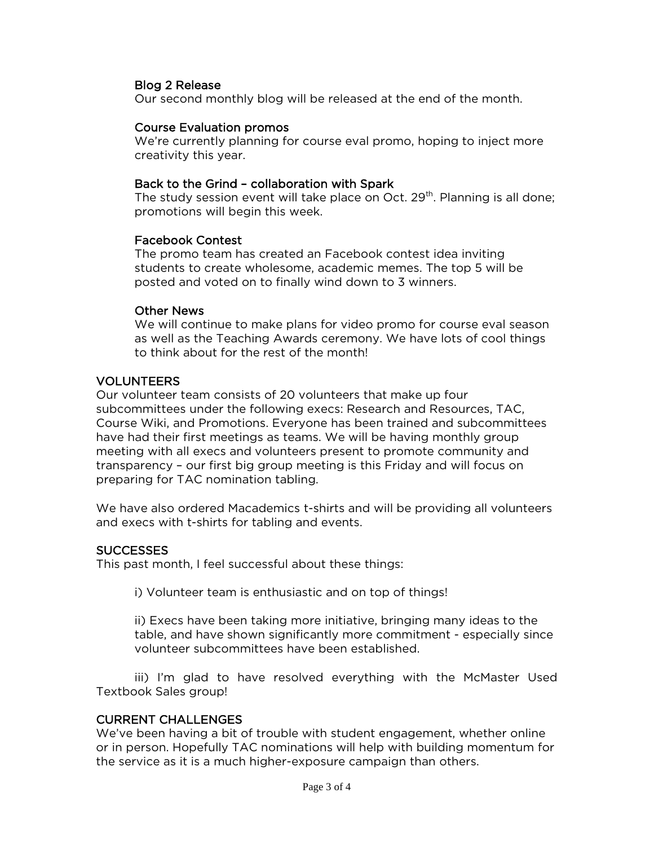#### Blog 2 Release

Our second monthly blog will be released at the end of the month.

#### Course Evaluation promos

We're currently planning for course eval promo, hoping to inject more creativity this year.

#### Back to the Grind – collaboration with Spark

The study session event will take place on Oct.  $29<sup>th</sup>$ . Planning is all done; promotions will begin this week.

#### Facebook Contest

The promo team has created an Facebook contest idea inviting students to create wholesome, academic memes. The top 5 will be posted and voted on to finally wind down to 3 winners.

#### Other News

We will continue to make plans for video promo for course eval season as well as the Teaching Awards ceremony. We have lots of cool things to think about for the rest of the month!

#### VOLUNTEERS

Our volunteer team consists of 20 volunteers that make up four subcommittees under the following execs: Research and Resources, TAC, Course Wiki, and Promotions. Everyone has been trained and subcommittees have had their first meetings as teams. We will be having monthly group meeting with all execs and volunteers present to promote community and transparency – our first big group meeting is this Friday and will focus on preparing for TAC nomination tabling.

We have also ordered Macademics t-shirts and will be providing all volunteers and execs with t-shirts for tabling and events.

#### SUCCESSES

This past month, I feel successful about these things:

i) Volunteer team is enthusiastic and on top of things!

ii) Execs have been taking more initiative, bringing many ideas to the table, and have shown significantly more commitment - especially since volunteer subcommittees have been established.

iii) I'm glad to have resolved everything with the McMaster Used Textbook Sales group!

#### CURRENT CHALLENGES

We've been having a bit of trouble with student engagement, whether online or in person. Hopefully TAC nominations will help with building momentum for the service as it is a much higher-exposure campaign than others.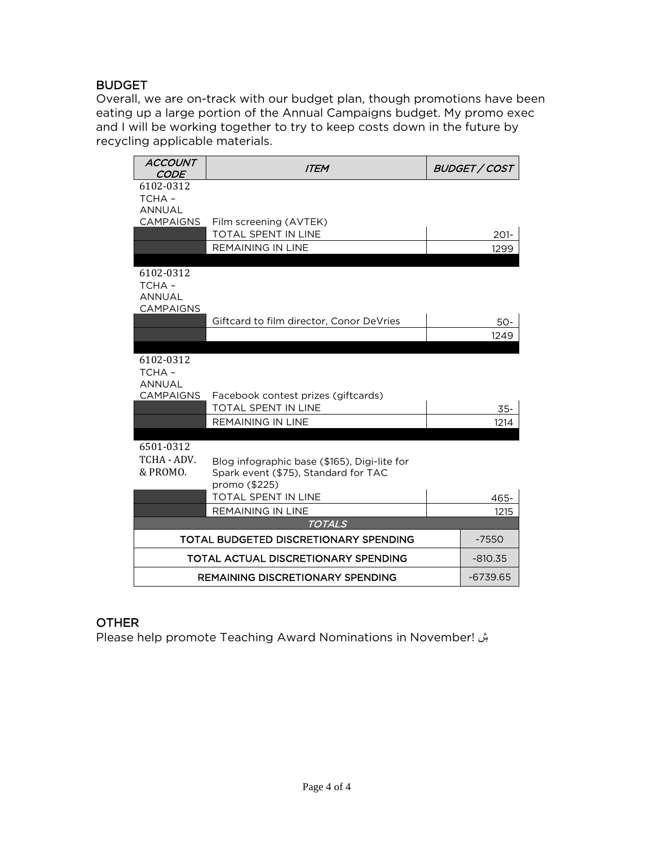## BUDGET

Overall, we are on-track with our budget plan, though promotions have been eating up a large portion of the Annual Campaigns budget. My promo exec and I will be working together to try to keep costs down in the future by recycling applicable materials.

| <b>ACCOUNT</b><br><b>CODE</b>                           | <b>ITEM</b>                                                                                           | <b>BUDGET / COST</b> |
|---------------------------------------------------------|-------------------------------------------------------------------------------------------------------|----------------------|
| 6102-0312<br>TCHA-<br><b>ANNUAL</b>                     |                                                                                                       |                      |
| <b>CAMPAIGNS</b>                                        | Film screening (AVTEK)                                                                                |                      |
|                                                         | <b>TOTAL SPENT IN LINE</b>                                                                            | $201 -$              |
|                                                         | <b>REMAINING IN LINE</b>                                                                              | 1299                 |
| 6102-0312<br>TCHA-<br><b>ANNUAL</b><br><b>CAMPAIGNS</b> |                                                                                                       |                      |
|                                                         | Giftcard to film director, Conor DeVries                                                              | 50-                  |
|                                                         |                                                                                                       | 1249                 |
| 6102-0312<br>TCHA-<br><b>ANNUAL</b><br><b>CAMPAIGNS</b> | Facebook contest prizes (giftcards)<br><b>TOTAL SPENT IN LINE</b>                                     | $35 -$               |
|                                                         | <b>REMAINING IN LINE</b>                                                                              | 1214                 |
| 6501-0312<br>TCHA - ADV.<br>& PROMO.                    | Blog infographic base (\$165), Digi-lite for<br>Spark event (\$75), Standard for TAC<br>promo (\$225) |                      |
|                                                         | <b>TOTAL SPENT IN LINE</b>                                                                            | 465-                 |
|                                                         | <b>REMAINING IN LINE</b>                                                                              | 1215                 |
|                                                         | <b>TOTALS</b>                                                                                         |                      |
|                                                         | TOTAL BUDGETED DISCRETIONARY SPENDING                                                                 | $-7550$              |
|                                                         | TOTAL ACTUAL DISCRETIONARY SPENDING                                                                   | $-810.35$            |
|                                                         | <b>REMAINING DISCRETIONARY SPENDING</b>                                                               | $-6739.65$           |

## OTHER

Please help promote Teaching Award Nominations in November! ۺ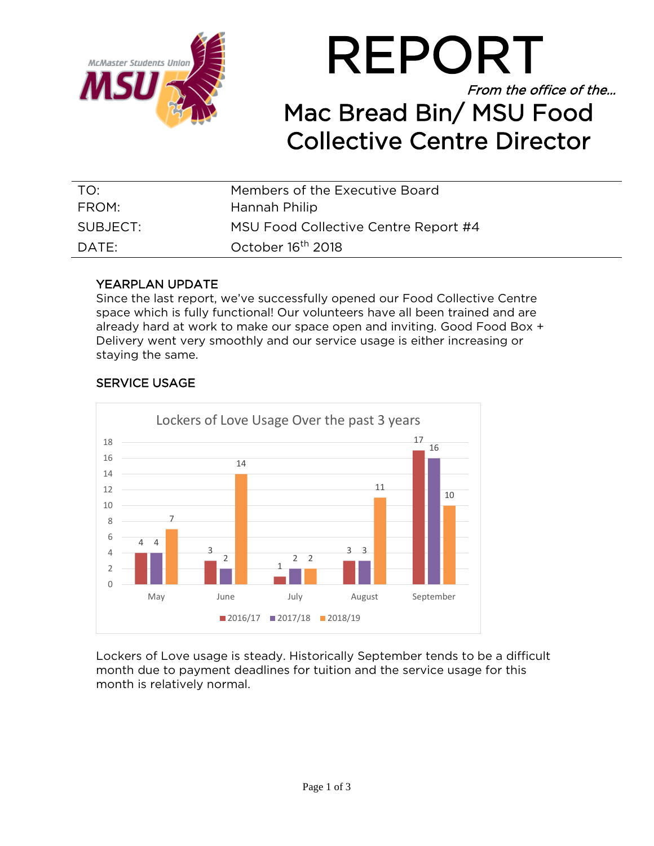



| TO:      | Members of the Executive Board       |
|----------|--------------------------------------|
| FROM:    | Hannah Philip                        |
| SUBJECT: | MSU Food Collective Centre Report #4 |
| DATE:    | October 16 <sup>th</sup> 2018        |

## YEARPLAN UPDATE

Since the last report, we've successfully opened our Food Collective Centre space which is fully functional! Our volunteers have all been trained and are already hard at work to make our space open and inviting. Good Food Box + Delivery went very smoothly and our service usage is either increasing or staying the same.



## SERVICE USAGE

Lockers of Love usage is steady. Historically September tends to be a difficult month due to payment deadlines for tuition and the service usage for this month is relatively normal.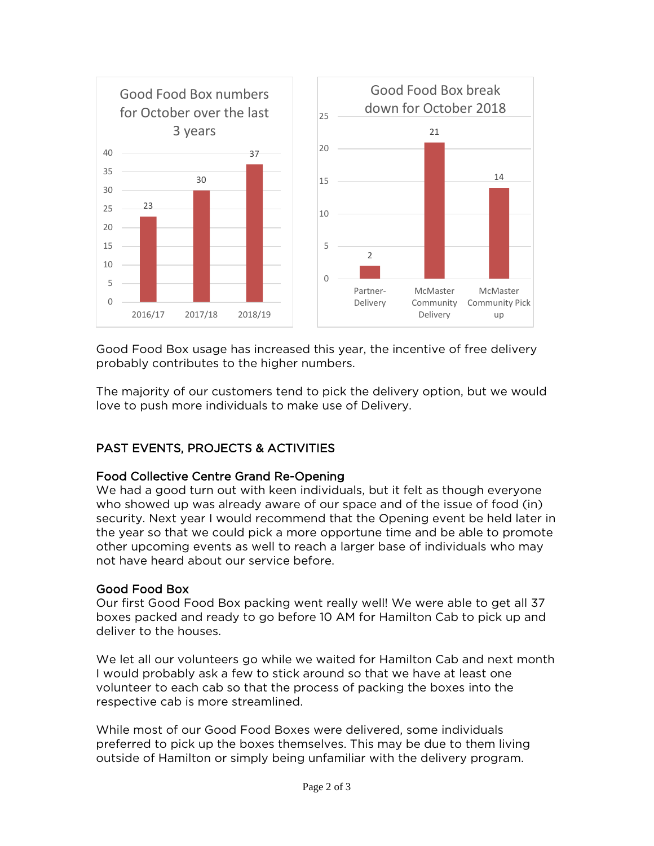

Good Food Box usage has increased this year, the incentive of free delivery probably contributes to the higher numbers.

The majority of our customers tend to pick the delivery option, but we would love to push more individuals to make use of Delivery.

## PAST EVENTS, PROJECTS & ACTIVITIES

## Food Collective Centre Grand Re-Opening

We had a good turn out with keen individuals, but it felt as though everyone who showed up was already aware of our space and of the issue of food (in) security. Next year I would recommend that the Opening event be held later in the year so that we could pick a more opportune time and be able to promote other upcoming events as well to reach a larger base of individuals who may not have heard about our service before.

## Good Food Box

Our first Good Food Box packing went really well! We were able to get all 37 boxes packed and ready to go before 10 AM for Hamilton Cab to pick up and deliver to the houses.

We let all our volunteers go while we waited for Hamilton Cab and next month I would probably ask a few to stick around so that we have at least one volunteer to each cab so that the process of packing the boxes into the respective cab is more streamlined.

While most of our Good Food Boxes were delivered, some individuals preferred to pick up the boxes themselves. This may be due to them living outside of Hamilton or simply being unfamiliar with the delivery program.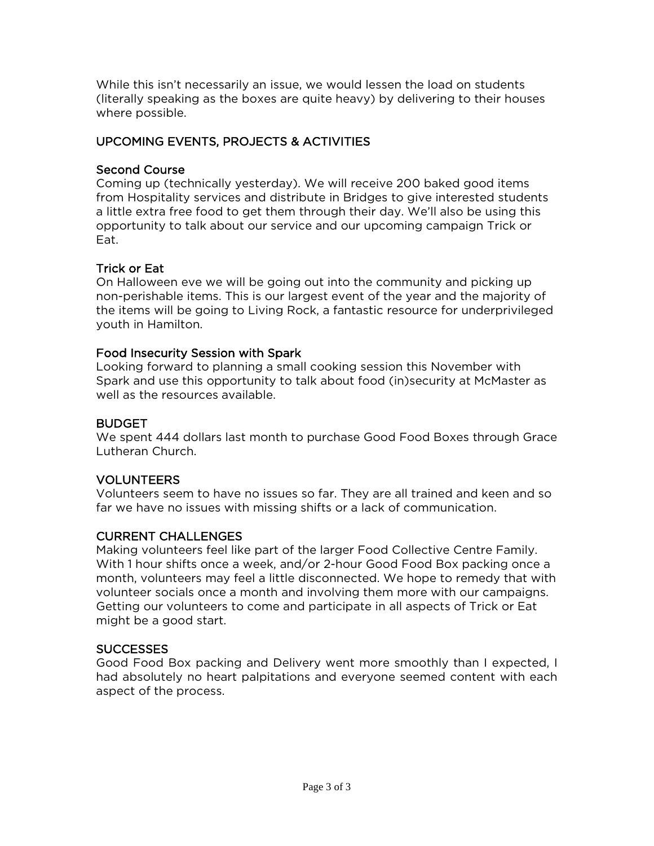While this isn't necessarily an issue, we would lessen the load on students (literally speaking as the boxes are quite heavy) by delivering to their houses where possible.

## UPCOMING EVENTS, PROJECTS & ACTIVITIES

## Second Course

Coming up (technically yesterday). We will receive 200 baked good items from Hospitality services and distribute in Bridges to give interested students a little extra free food to get them through their day. We'll also be using this opportunity to talk about our service and our upcoming campaign Trick or Eat.

## Trick or Eat

On Halloween eve we will be going out into the community and picking up non-perishable items. This is our largest event of the year and the majority of the items will be going to Living Rock, a fantastic resource for underprivileged youth in Hamilton.

## Food Insecurity Session with Spark

Looking forward to planning a small cooking session this November with Spark and use this opportunity to talk about food (in)security at McMaster as well as the resources available.

## **BUDGET**

We spent 444 dollars last month to purchase Good Food Boxes through Grace Lutheran Church.

## VOLUNTEERS

Volunteers seem to have no issues so far. They are all trained and keen and so far we have no issues with missing shifts or a lack of communication.

## CURRENT CHALLENGES

Making volunteers feel like part of the larger Food Collective Centre Family. With 1 hour shifts once a week, and/or 2-hour Good Food Box packing once a month, volunteers may feel a little disconnected. We hope to remedy that with volunteer socials once a month and involving them more with our campaigns. Getting our volunteers to come and participate in all aspects of Trick or Eat might be a good start.

## **SUCCESSES**

Good Food Box packing and Delivery went more smoothly than I expected, I had absolutely no heart palpitations and everyone seemed content with each aspect of the process.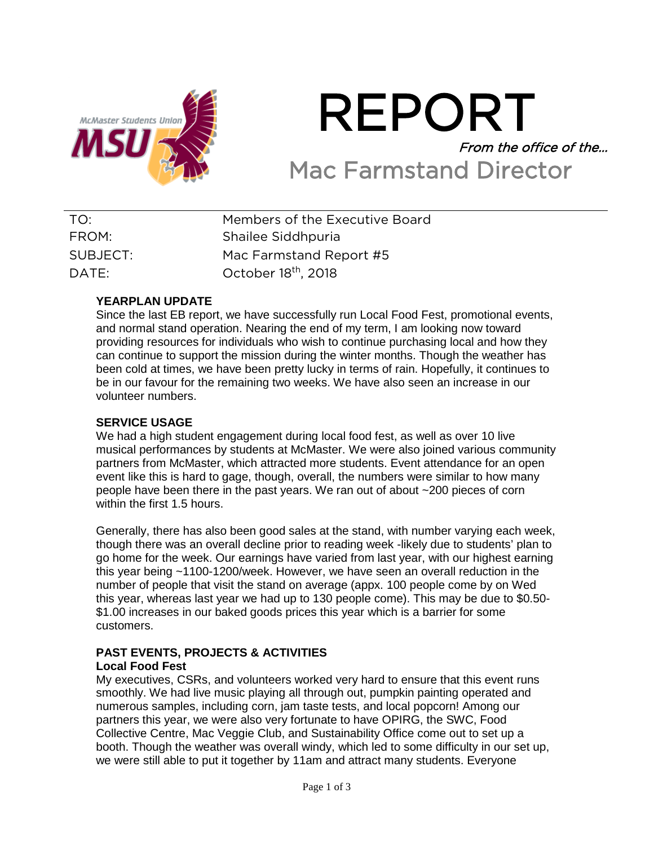

# REPORT From the office of the… Mac Farmstand Director

| TO:      | Members of the Executive Board  |
|----------|---------------------------------|
| FROM:    | Shailee Siddhpuria              |
| SUBJECT: | Mac Farmstand Report #5         |
| DATE:    | October 18 <sup>th</sup> , 2018 |

## **YEARPLAN UPDATE**

Since the last EB report, we have successfully run Local Food Fest, promotional events, and normal stand operation. Nearing the end of my term, I am looking now toward providing resources for individuals who wish to continue purchasing local and how they can continue to support the mission during the winter months. Though the weather has been cold at times, we have been pretty lucky in terms of rain. Hopefully, it continues to be in our favour for the remaining two weeks. We have also seen an increase in our volunteer numbers.

#### **SERVICE USAGE**

We had a high student engagement during local food fest, as well as over 10 live musical performances by students at McMaster. We were also joined various community partners from McMaster, which attracted more students. Event attendance for an open event like this is hard to gage, though, overall, the numbers were similar to how many people have been there in the past years. We ran out of about ~200 pieces of corn within the first 1.5 hours.

Generally, there has also been good sales at the stand, with number varying each week, though there was an overall decline prior to reading week -likely due to students' plan to go home for the week. Our earnings have varied from last year, with our highest earning this year being ~1100-1200/week. However, we have seen an overall reduction in the number of people that visit the stand on average (appx. 100 people come by on Wed this year, whereas last year we had up to 130 people come). This may be due to \$0.50- \$1.00 increases in our baked goods prices this year which is a barrier for some customers.

#### **PAST EVENTS, PROJECTS & ACTIVITIES Local Food Fest**

My executives, CSRs, and volunteers worked very hard to ensure that this event runs smoothly. We had live music playing all through out, pumpkin painting operated and numerous samples, including corn, jam taste tests, and local popcorn! Among our partners this year, we were also very fortunate to have OPIRG, the SWC, Food Collective Centre, Mac Veggie Club, and Sustainability Office come out to set up a booth. Though the weather was overall windy, which led to some difficulty in our set up, we were still able to put it together by 11am and attract many students. Everyone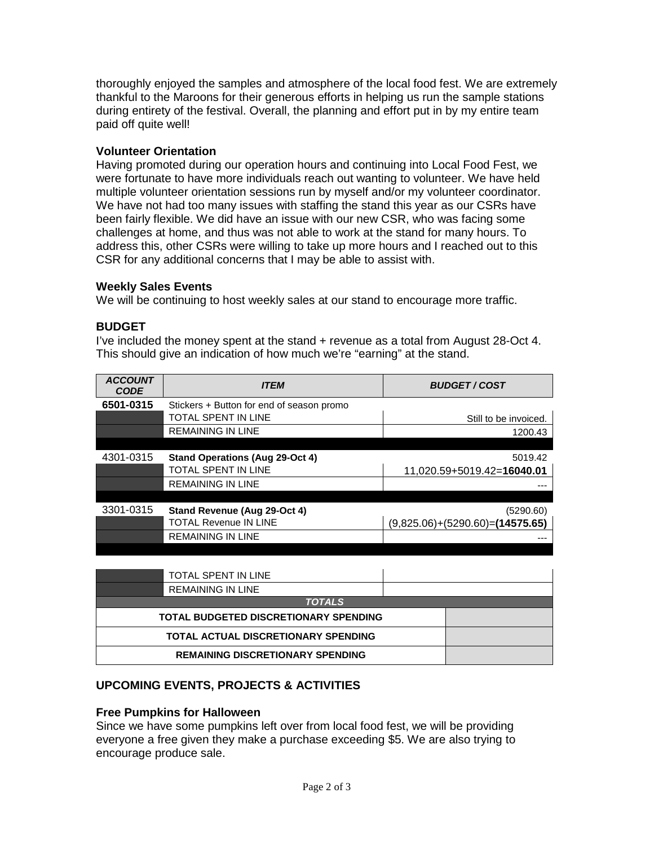thoroughly enjoyed the samples and atmosphere of the local food fest. We are extremely thankful to the Maroons for their generous efforts in helping us run the sample stations during entirety of the festival. Overall, the planning and effort put in by my entire team paid off quite well!

## **Volunteer Orientation**

Having promoted during our operation hours and continuing into Local Food Fest, we were fortunate to have more individuals reach out wanting to volunteer. We have held multiple volunteer orientation sessions run by myself and/or my volunteer coordinator. We have not had too many issues with staffing the stand this year as our CSRs have been fairly flexible. We did have an issue with our new CSR, who was facing some challenges at home, and thus was not able to work at the stand for many hours. To address this, other CSRs were willing to take up more hours and I reached out to this CSR for any additional concerns that I may be able to assist with.

## **Weekly Sales Events**

We will be continuing to host weekly sales at our stand to encourage more traffic.

## **BUDGET**

I've included the money spent at the stand + revenue as a total from August 28-Oct 4. This should give an indication of how much we're "earning" at the stand.

| <b>ACCOUNT</b><br><b>CODE</b> | <b>ITEM</b>                               | <b>BUDGET/COST</b>                    |
|-------------------------------|-------------------------------------------|---------------------------------------|
| 6501-0315                     | Stickers + Button for end of season promo |                                       |
|                               | <b>TOTAL SPENT IN LINE</b>                | Still to be invoiced.                 |
|                               | <b>REMAINING IN LINE</b>                  | 1200.43                               |
|                               |                                           |                                       |
| 4301-0315                     | <b>Stand Operations (Aug 29-Oct 4)</b>    | 5019.42                               |
|                               | <b>TOTAL SPENT IN LINE</b>                | 11,020.59+5019.42=16040.01            |
|                               | <b>REMAINING IN LINE</b>                  |                                       |
|                               |                                           |                                       |
| 3301-0315                     | Stand Revenue (Aug 29-Oct 4)              | (5290.60)                             |
|                               | <b>TOTAL Revenue IN LINE</b>              | $(9,825.06) + (5290.60) = (14575.65)$ |
|                               | <b>REMAINING IN LINE</b>                  |                                       |
|                               |                                           |                                       |

| TOTAL SPENT IN LINE                          |  |  |
|----------------------------------------------|--|--|
| REMAINING IN LINE                            |  |  |
| <b>TOTALS</b>                                |  |  |
| <b>TOTAL BUDGETED DISCRETIONARY SPENDING</b> |  |  |
| <b>TOTAL ACTUAL DISCRETIONARY SPENDING</b>   |  |  |
| <b>REMAINING DISCRETIONARY SPENDING</b>      |  |  |

## **UPCOMING EVENTS, PROJECTS & ACTIVITIES**

#### **Free Pumpkins for Halloween**

Since we have some pumpkins left over from local food fest, we will be providing everyone a free given they make a purchase exceeding \$5. We are also trying to encourage produce sale.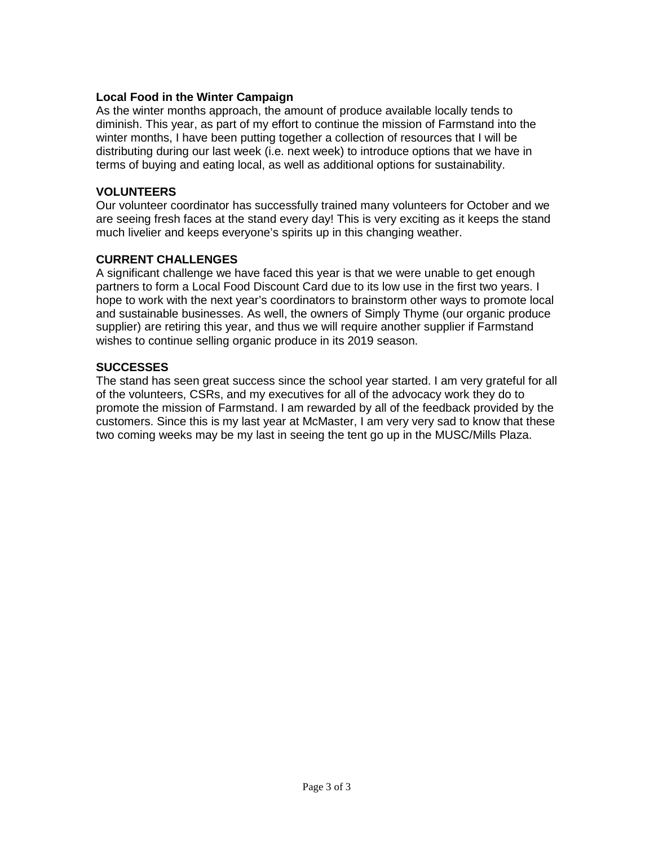#### **Local Food in the Winter Campaign**

As the winter months approach, the amount of produce available locally tends to diminish. This year, as part of my effort to continue the mission of Farmstand into the winter months, I have been putting together a collection of resources that I will be distributing during our last week (i.e. next week) to introduce options that we have in terms of buying and eating local, as well as additional options for sustainability.

#### **VOLUNTEERS**

Our volunteer coordinator has successfully trained many volunteers for October and we are seeing fresh faces at the stand every day! This is very exciting as it keeps the stand much livelier and keeps everyone's spirits up in this changing weather.

## **CURRENT CHALLENGES**

A significant challenge we have faced this year is that we were unable to get enough partners to form a Local Food Discount Card due to its low use in the first two years. I hope to work with the next year's coordinators to brainstorm other ways to promote local and sustainable businesses. As well, the owners of Simply Thyme (our organic produce supplier) are retiring this year, and thus we will require another supplier if Farmstand wishes to continue selling organic produce in its 2019 season.

## **SUCCESSES**

The stand has seen great success since the school year started. I am very grateful for all of the volunteers, CSRs, and my executives for all of the advocacy work they do to promote the mission of Farmstand. I am rewarded by all of the feedback provided by the customers. Since this is my last year at McMaster, I am very very sad to know that these two coming weeks may be my last in seeing the tent go up in the MUSC/Mills Plaza.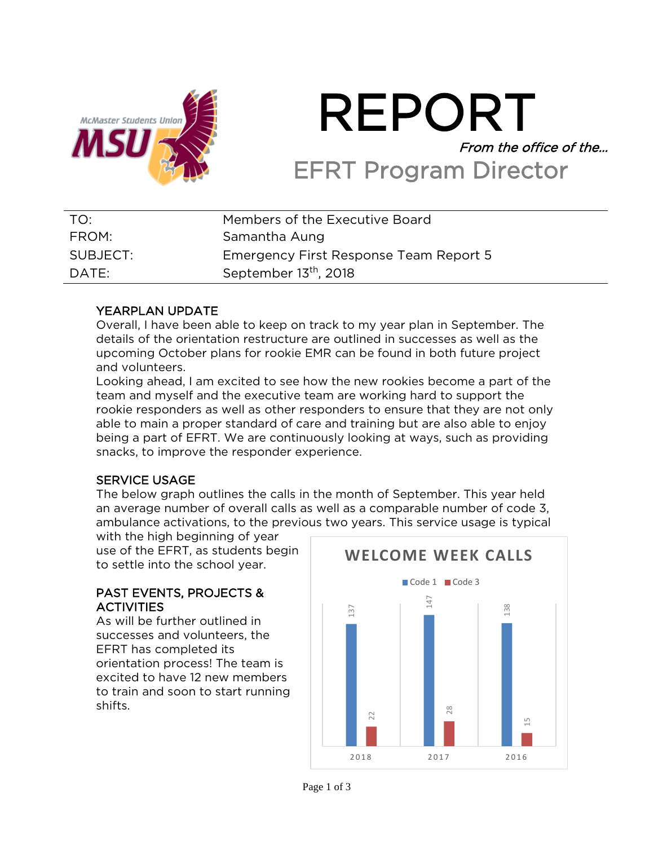

# REPORT From the office of the… EFRT Program Director

| TO:      | Members of the Executive Board         |
|----------|----------------------------------------|
| FROM:    | Samantha Aung                          |
| SUBJECT: | Emergency First Response Team Report 5 |
| DATE:    | September 13 <sup>th</sup> , 2018      |

## YEARPLAN UPDATE

Overall, I have been able to keep on track to my year plan in September. The details of the orientation restructure are outlined in successes as well as the upcoming October plans for rookie EMR can be found in both future project and volunteers.

Looking ahead, I am excited to see how the new rookies become a part of the team and myself and the executive team are working hard to support the rookie responders as well as other responders to ensure that they are not only able to main a proper standard of care and training but are also able to enjoy being a part of EFRT. We are continuously looking at ways, such as providing snacks, to improve the responder experience.

## SERVICE USAGE

The below graph outlines the calls in the month of September. This year held an average number of overall calls as well as a comparable number of code 3, ambulance activations, to the previous two years. This service usage is typical

with the high beginning of year use of the EFRT, as students begin to settle into the school year.

## PAST EVENTS, PROJECTS & **ACTIVITIES**

As will be further outlined in successes and volunteers, the EFRT has completed its orientation process! The team is excited to have 12 new members to train and soon to start running shifts.

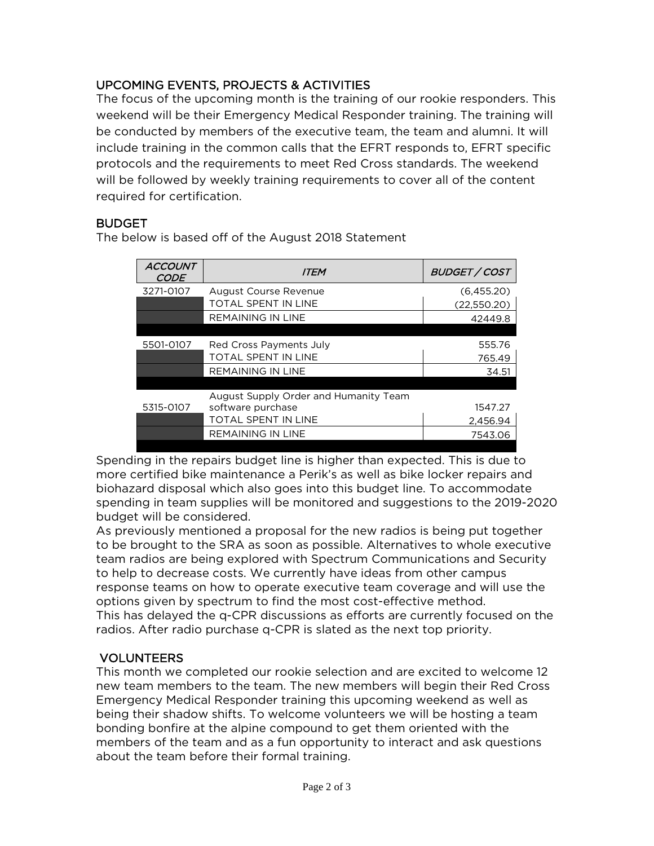## UPCOMING EVENTS, PROJECTS & ACTIVITIES

The focus of the upcoming month is the training of our rookie responders. This weekend will be their Emergency Medical Responder training. The training will be conducted by members of the executive team, the team and alumni. It will include training in the common calls that the EFRT responds to, EFRT specific protocols and the requirements to meet Red Cross standards. The weekend will be followed by weekly training requirements to cover all of the content required for certification.

## **BUDGET**

The below is based off of the August 2018 Statement

| (6,455.20)  |
|-------------|
|             |
| (22,550.20) |
| 42449.8     |
|             |
| 555.76      |
| 765.49      |
| 34.51       |
|             |
|             |
| 1547.27     |
| 2.456.94    |
| 7543.06     |
|             |

Spending in the repairs budget line is higher than expected. This is due to more certified bike maintenance a Perik's as well as bike locker repairs and biohazard disposal which also goes into this budget line. To accommodate spending in team supplies will be monitored and suggestions to the 2019-2020 budget will be considered.

As previously mentioned a proposal for the new radios is being put together to be brought to the SRA as soon as possible. Alternatives to whole executive team radios are being explored with Spectrum Communications and Security to help to decrease costs. We currently have ideas from other campus response teams on how to operate executive team coverage and will use the options given by spectrum to find the most cost-effective method. This has delayed the q-CPR discussions as efforts are currently focused on the radios. After radio purchase q-CPR is slated as the next top priority.

## VOLUNTEERS

This month we completed our rookie selection and are excited to welcome 12 new team members to the team. The new members will begin their Red Cross Emergency Medical Responder training this upcoming weekend as well as being their shadow shifts. To welcome volunteers we will be hosting a team bonding bonfire at the alpine compound to get them oriented with the members of the team and as a fun opportunity to interact and ask questions about the team before their formal training.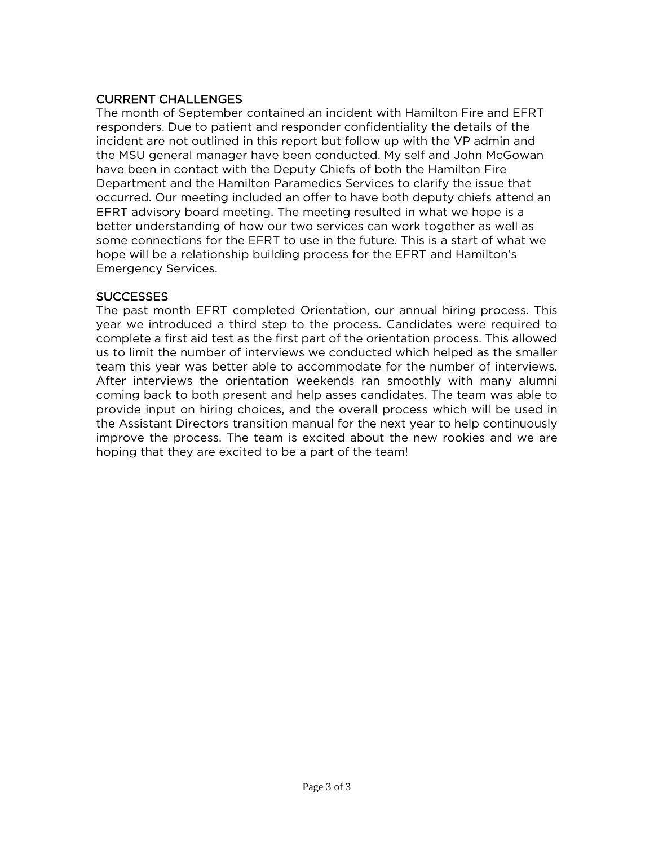## CURRENT CHALLENGES

The month of September contained an incident with Hamilton Fire and EFRT responders. Due to patient and responder confidentiality the details of the incident are not outlined in this report but follow up with the VP admin and the MSU general manager have been conducted. My self and John McGowan have been in contact with the Deputy Chiefs of both the Hamilton Fire Department and the Hamilton Paramedics Services to clarify the issue that occurred. Our meeting included an offer to have both deputy chiefs attend an EFRT advisory board meeting. The meeting resulted in what we hope is a better understanding of how our two services can work together as well as some connections for the EFRT to use in the future. This is a start of what we hope will be a relationship building process for the EFRT and Hamilton's Emergency Services.

## SUCCESSES

The past month EFRT completed Orientation, our annual hiring process. This year we introduced a third step to the process. Candidates were required to complete a first aid test as the first part of the orientation process. This allowed us to limit the number of interviews we conducted which helped as the smaller team this year was better able to accommodate for the number of interviews. After interviews the orientation weekends ran smoothly with many alumni coming back to both present and help asses candidates. The team was able to provide input on hiring choices, and the overall process which will be used in the Assistant Directors transition manual for the next year to help continuously improve the process. The team is excited about the new rookies and we are hoping that they are excited to be a part of the team!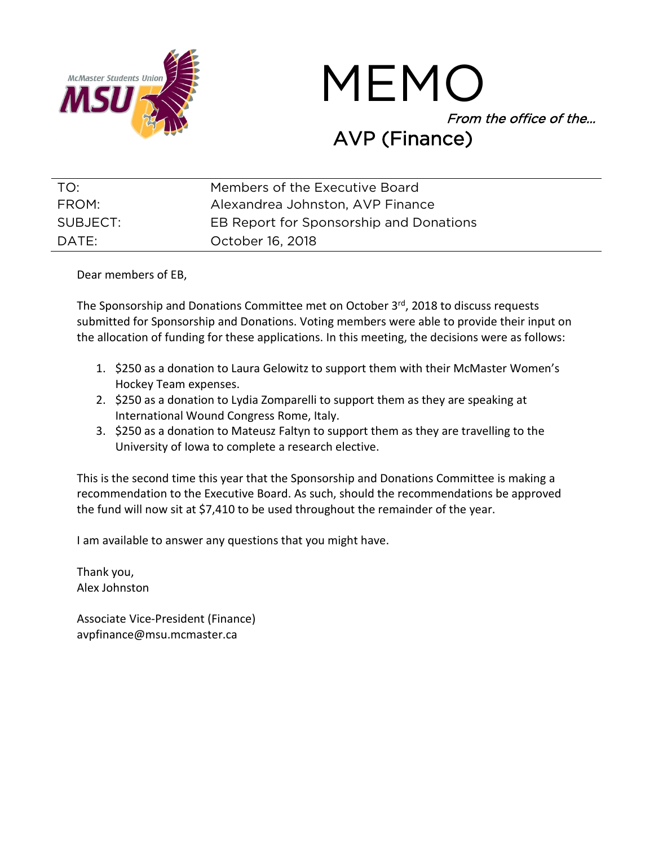

MEMO From the office of the… AVP (Finance)

| TO:      | Members of the Executive Board          |
|----------|-----------------------------------------|
| FROM:    | Alexandrea Johnston, AVP Finance        |
| SUBJECT: | EB Report for Sponsorship and Donations |
| DATE:    | October 16, 2018                        |

Dear members of EB,

The Sponsorship and Donations Committee met on October 3rd, 2018 to discuss requests submitted for Sponsorship and Donations. Voting members were able to provide their input on the allocation of funding for these applications. In this meeting, the decisions were as follows:

- 1. \$250 as a donation to Laura Gelowitz to support them with their McMaster Women's Hockey Team expenses.
- 2. \$250 as a donation to Lydia Zomparelli to support them as they are speaking at International Wound Congress Rome, Italy.
- 3. \$250 as a donation to Mateusz Faltyn to support them as they are travelling to the University of Iowa to complete a research elective.

This is the second time this year that the Sponsorship and Donations Committee is making a recommendation to the Executive Board. As such, should the recommendations be approved the fund will now sit at \$7,410 to be used throughout the remainder of the year.

I am available to answer any questions that you might have.

Thank you, Alex Johnston

Associate Vice-President (Finance) avpfinance@msu.mcmaster.ca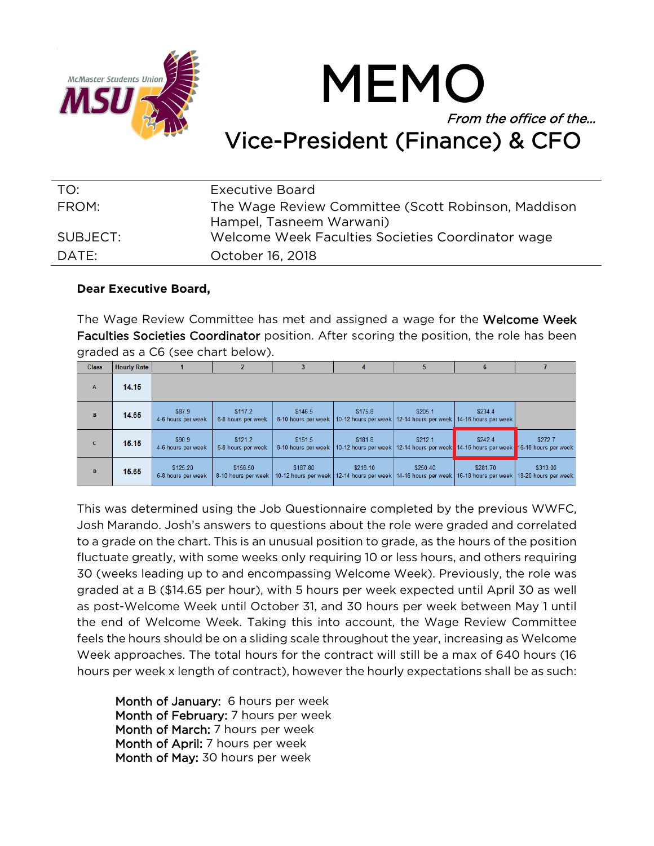

## From the office of the… Vice-President (Finance) & CFO

MEMO

| TO:      | Executive Board                                                                 |
|----------|---------------------------------------------------------------------------------|
| FROM:    | The Wage Review Committee (Scott Robinson, Maddison<br>Hampel, Tasneem Warwani) |
| SUBJECT: | Welcome Week Faculties Societies Coordinator wage                               |
| DATE:    | October 16, 2018                                                                |

## **Dear Executive Board,**

The Wage Review Committee has met and assigned a wage for the Welcome Week Faculties Societies Coordinator position. After scoring the position, the role has been graded as a C6 (see chart below).

| <b>Class</b> | <b>Hourly Rate</b> |                                |                                 |                                |          | 5                                                                                                                            | h                                                    |          |
|--------------|--------------------|--------------------------------|---------------------------------|--------------------------------|----------|------------------------------------------------------------------------------------------------------------------------------|------------------------------------------------------|----------|
| $\mathbf{A}$ | 14.15              |                                |                                 |                                |          |                                                                                                                              |                                                      |          |
| B            | 14.65              | \$87.9<br>4-6 hours per week   | \$117.2<br>6-8 hours per week   | \$146.5<br>8-10 hours per week | \$175.8  | \$205.1<br>10-12 hours per week   12-14 hours per week   14-16 hours per week                                                | \$234.4                                              |          |
| $\mathbf{C}$ | 15.15              | \$90.9<br>4-6 hours per week   | \$121.2<br>6-8 hours per week   | \$151.5<br>8-10 hours per week | \$181.8  | \$212.1<br>10-12 hours per week   12-14 hours per week                                                                       | \$242.4<br>14-16 hours per week 16-18 hours per week | \$272.7  |
| D            | 15.65              | \$125.20<br>6-8 hours per week | \$156.50<br>8-10 hours per week | \$187.80                       | \$219.10 | \$250.40<br>10-12 hours per week   12-14 hours per week   14-16 hours per week   16-18 hours per week   18-20 hours per week | \$281.70                                             | \$313.00 |

This was determined using the Job Questionnaire completed by the previous WWFC, Josh Marando. Josh's answers to questions about the role were graded and correlated to a grade on the chart. This is an unusual position to grade, as the hours of the position fluctuate greatly, with some weeks only requiring 10 or less hours, and others requiring 30 (weeks leading up to and encompassing Welcome Week). Previously, the role was graded at a B (\$14.65 per hour), with 5 hours per week expected until April 30 as well as post-Welcome Week until October 31, and 30 hours per week between May 1 until the end of Welcome Week. Taking this into account, the Wage Review Committee feels the hours should be on a sliding scale throughout the year, increasing as Welcome Week approaches. The total hours for the contract will still be a max of 640 hours (16 hours per week x length of contract), however the hourly expectations shall be as such:

Month of January: 6 hours per week Month of February: 7 hours per week Month of March: 7 hours per week Month of April: 7 hours per week Month of May: 30 hours per week